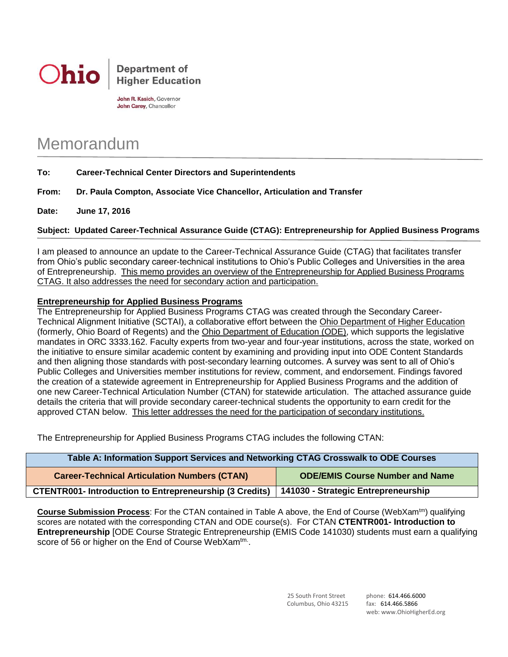

John R. Kasich, Governor John Carey, Chancellor

## Memorandum

## **To: Career-Technical Center Directors and Superintendents**

**From: Dr. Paula Compton, Associate Vice Chancellor, Articulation and Transfer**

**Date: June 17, 2016**

## **Subject: Updated Career-Technical Assurance Guide (CTAG): Entrepreneurship for Applied Business Programs**

I am pleased to announce an update to the Career-Technical Assurance Guide (CTAG) that facilitates transfer from Ohio's public secondary career-technical institutions to Ohio's Public Colleges and Universities in the area of Entrepreneurship. This memo provides an overview of the Entrepreneurship for Applied Business Programs CTAG. It also addresses the need for secondary action and participation.

## **Entrepreneurship for Applied Business Programs**

The Entrepreneurship for Applied Business Programs CTAG was created through the Secondary Career-Technical Alignment Initiative (SCTAI), a collaborative effort between the Ohio Department of Higher Education (formerly, Ohio Board of Regents) and the Ohio Department of Education (ODE), which supports the legislative mandates in ORC 3333.162. Faculty experts from two-year and four-year institutions, across the state, worked on the initiative to ensure similar academic content by examining and providing input into ODE Content Standards and then aligning those standards with post-secondary learning outcomes. A survey was sent to all of Ohio's Public Colleges and Universities member institutions for review, comment, and endorsement. Findings favored the creation of a statewide agreement in Entrepreneurship for Applied Business Programs and the addition of one new Career-Technical Articulation Number (CTAN) for statewide articulation. The attached assurance guide details the criteria that will provide secondary career-technical students the opportunity to earn credit for the approved CTAN below. This letter addresses the need for the participation of secondary institutions.

The Entrepreneurship for Applied Business Programs CTAG includes the following CTAN:

| Table A: Information Support Services and Networking CTAG Crosswalk to ODE Courses |                                        |
|------------------------------------------------------------------------------------|----------------------------------------|
| <b>Career-Technical Articulation Numbers (CTAN)</b>                                | <b>ODE/EMIS Course Number and Name</b> |
| <b>CTENTR001- Introduction to Entrepreneurship (3 Credits)</b>                     | 141030 - Strategic Entrepreneurship    |

**Course Submission Process**: For the CTAN contained in Table A above, the End of Course (WebXam<sup>tm</sup>) qualifying scores are notated with the corresponding CTAN and ODE course(s). For CTAN **CTENTR001- Introduction to Entrepreneurship** [ODE Course Strategic Entrepreneurship (EMIS Code 141030) students must earn a qualifying score of 56 or higher on the End of Course WebXam<sup>tm.</sup>.